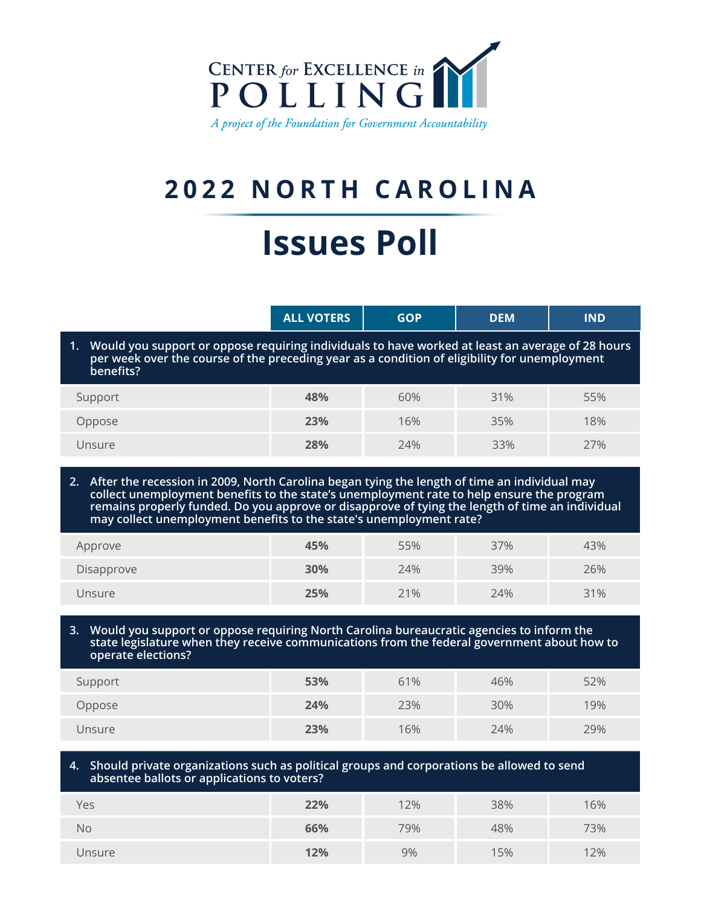

## **2022 NORTH CAROLINA**

# **Issues Poll**

|                                                                                                                                                                                                                   | <b>ALL VOTERS</b> | <b>GOP</b> | <b>DEM</b> | <b>IND</b> |  |
|-------------------------------------------------------------------------------------------------------------------------------------------------------------------------------------------------------------------|-------------------|------------|------------|------------|--|
| 1. Would you support or oppose requiring individuals to have worked at least an average of 28 hours<br>per week over the course of the preceding year as a condition of eligibility for unemployment<br>benefits? |                   |            |            |            |  |
| Support                                                                                                                                                                                                           | 48%               | 60%        | 31%        | 55%        |  |
| Oppose                                                                                                                                                                                                            | 23%               | 16%        | 35%        | 18%        |  |
| Unsure                                                                                                                                                                                                            | 28%               | 24%        | 33%        | 27%        |  |

**2. After the recession in 2009, North Carolina began tying the length of time an individual may collect unemployment benefits to the state's unemployment rate to help ensure the program remains properly funded. Do you approve or disapprove of tying the length of time an individual may collect unemployment benefits to the state's unemployment rate?** 

| Approve    | 45% | 55% | 37% | 43% |
|------------|-----|-----|-----|-----|
| Disapprove | 30% | 24% | 39% | 26% |
| Unsure     | 25% | 21% | 24% | 31% |

#### **3. Would you support or oppose requiring North Carolina bureaucratic agencies to inform the state legislature when they receive communications from the federal government about how to operate elections?**

| Support | 53% | 61% | 46% | 52% |
|---------|-----|-----|-----|-----|
| Oppose  | 24% | 23% | 30% | 19% |
| Unsure  | 23% | 16% | 24% | 29% |

#### **4. Should private organizations such as political groups and corporations be allowed to send absentee ballots or applications to voters?**

| Yes    | 22% | 12% | 38% | 16% |
|--------|-----|-----|-----|-----|
| No     | 66% | 79% | 48% | 73% |
| Unsure | 12% | 9%  | 15% | 12% |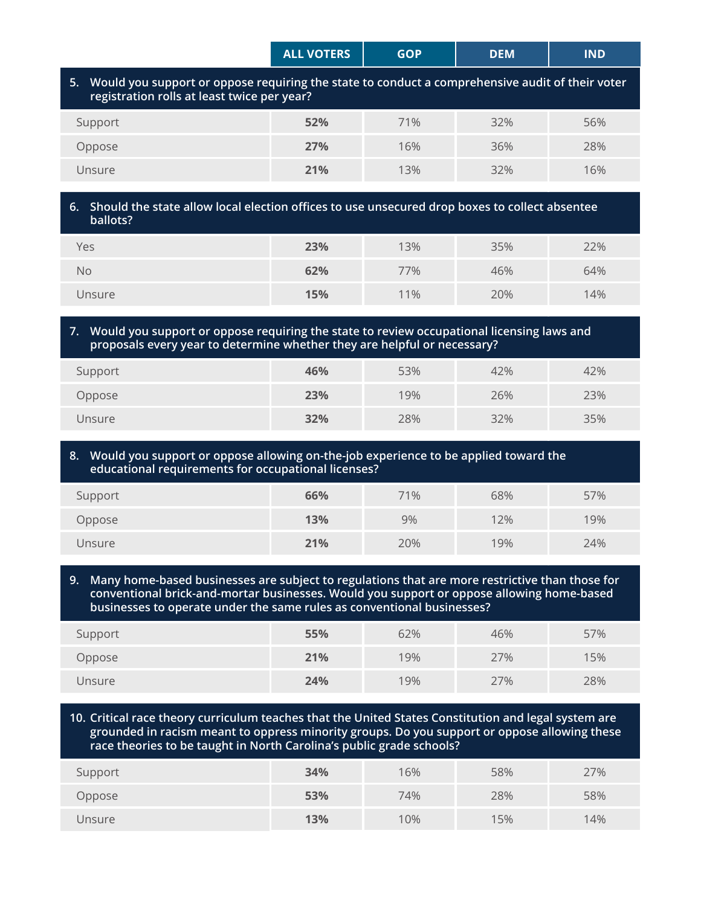|                                                                                                                                                   | <b>ALL VOTERS</b> | <b>GOP</b> | <b>DEM</b> | <b>IND</b> |  |
|---------------------------------------------------------------------------------------------------------------------------------------------------|-------------------|------------|------------|------------|--|
| 5. Would you support or oppose requiring the state to conduct a comprehensive audit of their voter<br>registration rolls at least twice per year? |                   |            |            |            |  |
| Support                                                                                                                                           | 52%               | 71%        | 32%        | 56%        |  |
| Oppose                                                                                                                                            | 27%               | 16%        | 36%        | 28%        |  |
| Unsure                                                                                                                                            | 21%               | 13%        | 32%        | 16%        |  |
|                                                                                                                                                   |                   |            |            |            |  |

#### **6. Should the state allow local election offices to use unsecured drop boxes to collect absentee ballots?**

| Yes    | 23% | 13% | 35% | 22% |
|--------|-----|-----|-----|-----|
| No     | 62% | 77% | 46% | 64% |
| Unsure | 15% | 11% | 20% | 14% |

#### **7. Would you support or oppose requiring the state to review occupational licensing laws and proposals every year to determine whether they are helpful or necessary?**

| Support | 46% | 53% | 42% | 42% |
|---------|-----|-----|-----|-----|
| Oppose  | 23% | 19% | 26% | 23% |
| Unsure  | 32% | 28% | 32% | 35% |

#### **8. Would you support or oppose allowing on-the-job experience to be applied toward the educational requirements for occupational licenses?**

| Support | 66% | 71% | 68% | 57% |
|---------|-----|-----|-----|-----|
| Oppose  | 13% | 9%  | 12% | 19% |
| Unsure  | 21% | 20% | 19% | 24% |

#### **9. Many home-based businesses are subject to regulations that are more restrictive than those for conventional brick-and-mortar businesses. Would you support or oppose allowing home-based businesses to operate under the same rules as conventional businesses?**

| Support | 55% | 62% | 46% | 57% |
|---------|-----|-----|-----|-----|
| Oppose  | 21% | 19% | 27% | 15% |
| Unsure  | 24% | 19% | 27% | 28% |

#### **10. Critical race theory curriculum teaches that the United States Constitution and legal system are grounded in racism meant to oppress minority groups. Do you support or oppose allowing these race theories to be taught in North Carolina's public grade schools?**

| Support | 34% | 16% | 58% | 27% |
|---------|-----|-----|-----|-----|
| Oppose  | 53% | 74% | 28% | 58% |
| Unsure  | 13% | 10% | 15% | 14% |